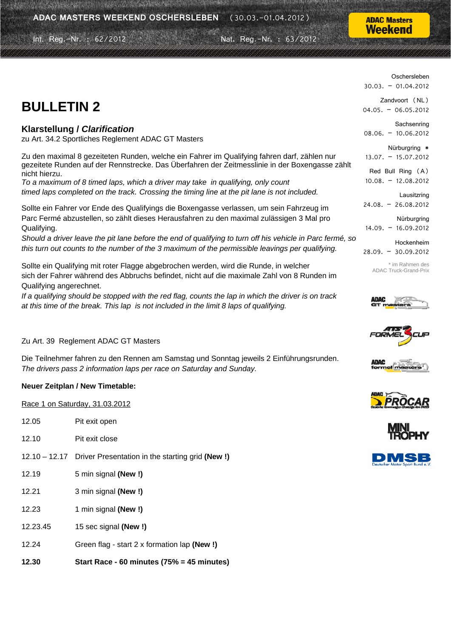Int. Reg.-Nr. : 62/2012 Nat. Reg.-Nr. : 63/2012

#### **ADAC Masters** Weekend

# **BULLETIN 2**

### **Klarstellung /** *Clarification*

zu Art. 34.2 Sportliches Reglement ADAC GT Masters

Zu den maximal 8 gezeiteten Runden, welche ein Fahrer im Qualifying fahren darf, zählen nur gezeitete Runden auf der Rennstrecke. Das Überfahren der Zeitmesslinie in der Boxengasse zählt nicht hierzu.

*To a maximum of 8 timed laps, which a driver may take in qualifying, only count timed laps completed on the track. Crossing the timing line at the pit lane is not included.* 

Sollte ein Fahrer vor Ende des Qualifyings die Boxengasse verlassen, um sein Fahrzeug im Parc Fermé abzustellen, so zählt dieses Herausfahren zu den maximal zulässigen 3 Mal pro Qualifying.

*Should a driver leave the pit lane before the end of qualifying to turn off his vehicle in Parc fermé, so this turn out counts to the number of the 3 maximum of the permissible leavings per qualifying.* 

Sollte ein Qualifying mit roter Flagge abgebrochen werden, wird die Runde, in welcher sich der Fahrer während des Abbruchs befindet, nicht auf die maximale Zahl von 8 Runden im Qualifying angerechnet.

*If a qualifying should be stopped with the red flag, counts the lap in which the driver is on track at this time of the break. This lap is not included in the limit 8 laps of qualifying.* 

#### Zu Art. 39 Reglement ADAC GT Masters

Die Teilnehmer fahren zu den Rennen am Samstag und Sonntag jeweils 2 Einführungsrunden. *The drivers pass 2 information laps per race on Saturday and Sunday.* 

#### **Neuer Zeitplan / New Timetable:**

| Race 1 on Saturday, 31.03.2012 |  |  |  |  |
|--------------------------------|--|--|--|--|
|--------------------------------|--|--|--|--|

- 12.05 Pit exit open
- 12.10 Pit exit close
- 12.10 12.17 Driver Presentation in the starting grid **(New !)**
- 12.19 5 min signal **(New !)**
- 12.21 3 min signal **(New !)**
- 12.23 1 min signal **(New !)**
- 12.23.45 15 sec signal **(New !)**
- 12.24 Green flag start 2 x formation lap **(New !)**

**12.30 Start Race - 60 minutes (75% = 45 minutes)** 

Oschersleben 30.03. – 01.04.2012

Zandvoort (NL) 04.05. – 06.05.2012

**Sachsenring** 08.06. – 10.06.2012

Nürburgring  $*$ 13.07. – 15.07.2012

Red Bull Ring (A) 10.08. – 12.08.2012

Lausitzring 24.08. – 26.08.2012

Nürburgring 14.09. – 16.09.2012

Hockenheim 28.09. – 30.09.2012

> \* im Rahmen des ADAC Truck-Grand-Prix